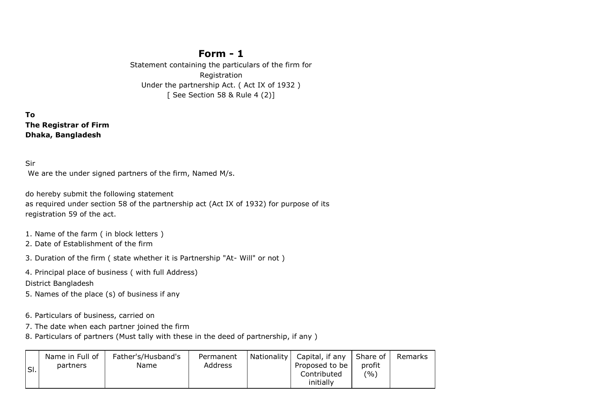## **Form - 1**

Statement containing the particulars of the firm for Registration Under the partnership Act. ( Act IX of 1932 ) [ See Section 58 & Rule 4 (2)]

**To The Registrar of Firm Dhaka, Bangladesh** 

Sir

We are the under signed partners of the firm, Named M/s.

do hereby submit the following statement as required under section 58 of the partnership act (Act IX of 1932) for purpose of its registration 59 of the act.

1. Name of the farm ( in block letters )

2. Date of Establishment of the firm

3. Duration of the firm ( state whether it is Partnership "At- Will" or not )

4. Principal place of business ( with full Address)

District Bangladesh

5. Names of the place (s) of business if any

6. Particulars of business, carried on

7. The date when each partner joined the firm

8. Particulars of partners (Must tally with these in the deed of partnership, if any )

| SI. | Name in Full of<br>partners | Father's/Husband's<br>Name | Permanent<br>Address | Nationality | Capital, if any<br>Proposed to be<br>Contributed<br>initially | l Share of<br>profit<br>(9/0) | Remarks |
|-----|-----------------------------|----------------------------|----------------------|-------------|---------------------------------------------------------------|-------------------------------|---------|
|-----|-----------------------------|----------------------------|----------------------|-------------|---------------------------------------------------------------|-------------------------------|---------|